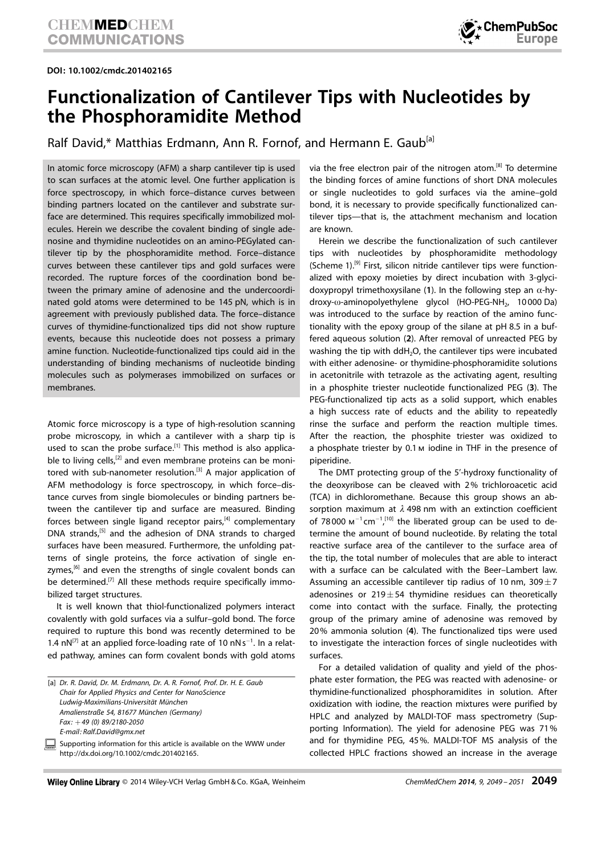DOI: 10.1002/cmdc.201402165



## Functionalization of Cantilever Tips with Nucleotides by the Phosphoramidite Method

Ralf David,\* Matthias Erdmann, Ann R. Fornof, and Hermann E. Gaub<sup>[a]</sup>

In atomic force microscopy (AFM) a sharp cantilever tip is used to scan surfaces at the atomic level. One further application is force spectroscopy, in which force–distance curves between binding partners located on the cantilever and substrate surface are determined. This requires specifically immobilized molecules. Herein we describe the covalent binding of single adenosine and thymidine nucleotides on an amino-PEGylated cantilever tip by the phosphoramidite method. Force–distance curves between these cantilever tips and gold surfaces were recorded. The rupture forces of the coordination bond between the primary amine of adenosine and the undercoordinated gold atoms were determined to be 145 pN, which is in agreement with previously published data. The force–distance curves of thymidine-functionalized tips did not show rupture events, because this nucleotide does not possess a primary amine function. Nucleotide-functionalized tips could aid in the understanding of binding mechanisms of nucleotide binding molecules such as polymerases immobilized on surfaces or membranes.

Atomic force microscopy is a type of high-resolution scanning probe microscopy, in which a cantilever with a sharp tip is used to scan the probe surface.<sup>[1]</sup> This method is also applicable to living cells, $[2]$  and even membrane proteins can be monitored with sub-nanometer resolution.<sup>[3]</sup> A major application of AFM methodology is force spectroscopy, in which force–distance curves from single biomolecules or binding partners between the cantilever tip and surface are measured. Binding forces between single ligand receptor pairs, $[4]$  complementary DNA strands,<sup>[5]</sup> and the adhesion of DNA strands to charged surfaces have been measured. Furthermore, the unfolding patterns of single proteins, the force activation of single enzymes, $[6]$  and even the strengths of single covalent bonds can be determined.<sup>[7]</sup> All these methods require specifically immobilized target structures.

It is well known that thiol-functionalized polymers interact covalently with gold surfaces via a sulfur–gold bond. The force required to rupture this bond was recently determined to be 1.4  $nN^{[7]}$  at an applied force-loading rate of 10  $nNs^{-1}$ . In a related pathway, amines can form covalent bonds with gold atoms via the free electron pair of the nitrogen atom.[8] To determine the binding forces of amine functions of short DNA molecules or single nucleotides to gold surfaces via the amine–gold bond, it is necessary to provide specifically functionalized cantilever tips—that is, the attachment mechanism and location are known.

Herein we describe the functionalization of such cantilever tips with nucleotides by phosphoramidite methodology (Scheme 1).<sup>[9]</sup> First, silicon nitride cantilever tips were functionalized with epoxy moieties by direct incubation with 3-glycidoxypropyl trimethoxysilane (1). In the following step an  $\alpha$ -hydroxy- $\omega$ -aminopolyethylene glycol (HO-PEG-NH<sub>2</sub>, 10 000 Da) was introduced to the surface by reaction of the amino functionality with the epoxy group of the silane at pH 8.5 in a buffered aqueous solution (2). After removal of unreacted PEG by washing the tip with ddH<sub>2</sub>O, the cantilever tips were incubated with either adenosine- or thymidine-phosphoramidite solutions in acetonitrile with tetrazole as the activating agent, resulting in a phosphite triester nucleotide functionalized PEG (3). The PEG-functionalized tip acts as a solid support, which enables a high success rate of educts and the ability to repeatedly rinse the surface and perform the reaction multiple times. After the reaction, the phosphite triester was oxidized to a phosphate triester by 0.1 m iodine in THF in the presence of piperidine.

The DMT protecting group of the 5'-hydroxy functionality of the deoxyribose can be cleaved with 2% trichloroacetic acid (TCA) in dichloromethane. Because this group shows an absorption maximum at  $\lambda$  498 nm with an extinction coefficient of 78000  $M^{-1}$ cm<sup>-1 [10]</sup> the liberated group can be used to determine the amount of bound nucleotide. By relating the total reactive surface area of the cantilever to the surface area of the tip, the total number of molecules that are able to interact with a surface can be calculated with the Beer–Lambert law. Assuming an accessible cantilever tip radius of 10 nm,  $309\pm7$ adenosines or  $219 \pm 54$  thymidine residues can theoretically come into contact with the surface. Finally, the protecting group of the primary amine of adenosine was removed by 20% ammonia solution (4). The functionalized tips were used to investigate the interaction forces of single nucleotides with surfaces.

For a detailed validation of quality and yield of the phosphate ester formation, the PEG was reacted with adenosine- or thymidine-functionalized phosphoramidites in solution. After oxidization with iodine, the reaction mixtures were purified by HPLC and analyzed by MALDI-TOF mass spectrometry (Supporting Information). The yield for adenosine PEG was 71% and for thymidine PEG, 45%. MALDI-TOF MS analysis of the collected HPLC fractions showed an increase in the average

<sup>[</sup>a] Dr. R. David, Dr. M. Erdmann, Dr. A. R. Fornof, Prof. Dr. H. E. Gaub Chair for Applied Physics and Center for NanoScience Ludwig-Maximilians-Universität München Amalienstraße 54, 81677 München (Germany)  $Fax: +49(0) 89/2180 - 2050$ E-mail: Ralf.David@gmx.net Supporting information for this article is available on the WWW under http://dx.doi.org/10.1002/cmdc.201402165.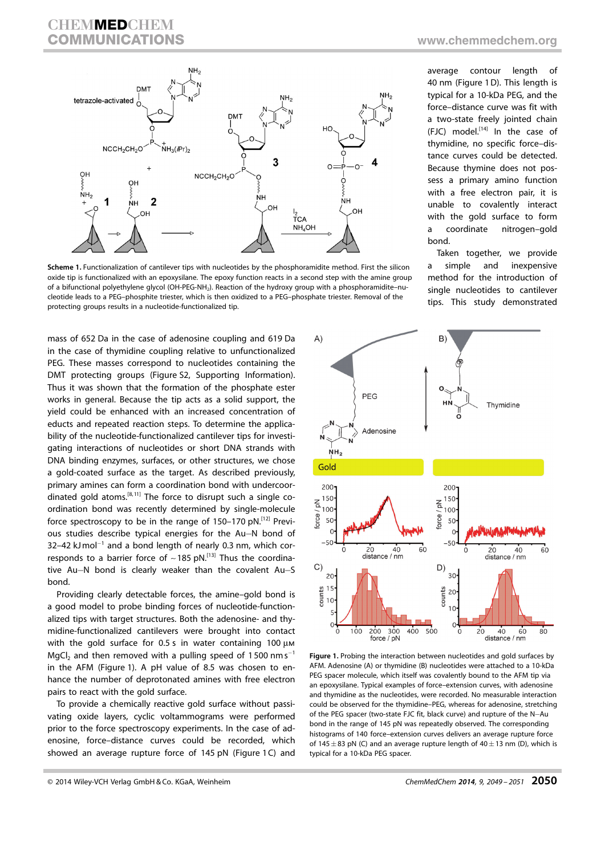## **CHEMMEDCHEM** COMMUNICATIONS <www.chemmedchem.org>



Scheme 1. Functionalization of cantilever tips with nucleotides by the phosphoramidite method. First the silicon oxide tip is functionalized with an epoxysilane. The epoxy function reacts in a second step with the amine group of a bifunctional polyethylene glycol (OH-PEG-NH<sub>2</sub>). Reaction of the hydroxy group with a phosphoramidite–nucleotide leads to a PEG–phosphite triester, which is then oxidized to a PEG–phosphate triester. Removal of the protecting groups results in a nucleotide-functionalized tip.

mass of 652 Da in the case of adenosine coupling and 619 Da in the case of thymidine coupling relative to unfunctionalized PEG. These masses correspond to nucleotides containing the DMT protecting groups (Figure S2, Supporting Information). Thus it was shown that the formation of the phosphate ester works in general. Because the tip acts as a solid support, the yield could be enhanced with an increased concentration of educts and repeated reaction steps. To determine the applicability of the nucleotide-functionalized cantilever tips for investigating interactions of nucleotides or short DNA strands with DNA binding enzymes, surfaces, or other structures, we chose a gold-coated surface as the target. As described previously, primary amines can form a coordination bond with undercoordinated gold atoms.<sup>[8, 11]</sup> The force to disrupt such a single coordination bond was recently determined by single-molecule force spectroscopy to be in the range of 150–170 pN.[12] Previous studies describe typical energies for the Au-N bond of  $32-42$  kJ mol<sup>-1</sup> and a bond length of nearly 0.3 nm, which corresponds to a barrier force of  $\sim$  185 pN.<sup>[13]</sup> Thus the coordinative Au-N bond is clearly weaker than the covalent Au-S bond.

Providing clearly detectable forces, the amine–gold bond is a good model to probe binding forces of nucleotide-functionalized tips with target structures. Both the adenosine- and thymidine-functionalized cantilevers were brought into contact with the gold surface for  $0.5$  s in water containing 100  $\mu$ M  $MgCl<sub>2</sub>$  and then removed with a pulling speed of 1500 nm s<sup>-1</sup> in the AFM (Figure 1). A pH value of 8.5 was chosen to enhance the number of deprotonated amines with free electron pairs to react with the gold surface.

To provide a chemically reactive gold surface without passivating oxide layers, cyclic voltammograms were performed prior to the force spectroscopy experiments. In the case of adenosine, force–distance curves could be recorded, which showed an average rupture force of 145 pN (Figure 1C) and average contour length of 40 nm (Figure 1D). This length is typical for a 10-kDa PEG, and the force–distance curve was fit with a two-state freely jointed chain (FJC) model. $[14]$  In the case of thymidine, no specific force–distance curves could be detected. Because thymine does not possess a primary amino function with a free electron pair, it is unable to covalently interact with the gold surface to form a coordinate nitrogen–gold bond.

Taken together, we provide a simple and inexpensive method for the introduction of single nucleotides to cantilever tips. This study demonstrated



Figure 1. Probing the interaction between nucleotides and gold surfaces by AFM. Adenosine (A) or thymidine (B) nucleotides were attached to a 10-kDa PEG spacer molecule, which itself was covalently bound to the AFM tip via an epoxysilane. Typical examples of force–extension curves, with adenosine and thymidine as the nucleotides, were recorded. No measurable interaction could be observed for the thymidine–PEG, whereas for adenosine, stretching of the PEG spacer (two-state FJC fit, black curve) and rupture of the N-Au bond in the range of 145 pN was repeatedly observed. The corresponding histograms of 140 force–extension curves delivers an average rupture force of 145 $\pm$ 83 pN (C) and an average rupture length of 40 $\pm$ 13 nm (D), which is typical for a 10-kDa PEG spacer.

<sup>© 2014</sup> Wiley-VCH Verlag GmbH & Co. KGaA, Weinheim